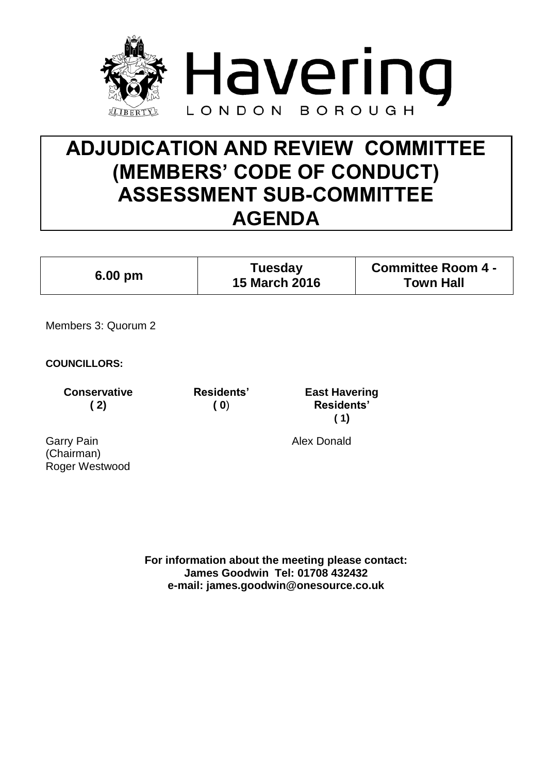

# **ADJUDICATION AND REVIEW COMMITTEE (MEMBERS' CODE OF CONDUCT) ASSESSMENT SUB-COMMITTEE AGENDA**

| Tuesday<br>$6.00 \text{ pm}$<br><b>15 March 2016</b> | <b>Committee Room 4 -</b><br><b>Town Hall</b> |
|------------------------------------------------------|-----------------------------------------------|
|------------------------------------------------------|-----------------------------------------------|

Members 3: Quorum 2

**COUNCILLORS:**

**Conservative ( 2)**

**Residents' ( 0**)

**East Havering Residents' ( 1)**

Garry Pain (Chairman) Roger Westwood Alex Donald

**For information about the meeting please contact: James Goodwin Tel: 01708 432432 e-mail: james.goodwin@onesource.co.uk**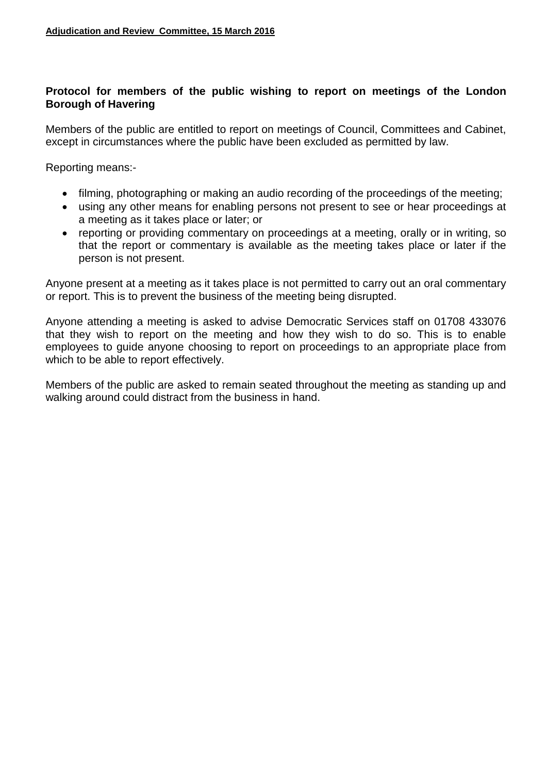# **Protocol for members of the public wishing to report on meetings of the London Borough of Havering**

Members of the public are entitled to report on meetings of Council, Committees and Cabinet, except in circumstances where the public have been excluded as permitted by law.

Reporting means:-

- filming, photographing or making an audio recording of the proceedings of the meeting;
- using any other means for enabling persons not present to see or hear proceedings at a meeting as it takes place or later; or
- reporting or providing commentary on proceedings at a meeting, orally or in writing, so that the report or commentary is available as the meeting takes place or later if the person is not present.

Anyone present at a meeting as it takes place is not permitted to carry out an oral commentary or report. This is to prevent the business of the meeting being disrupted.

Anyone attending a meeting is asked to advise Democratic Services staff on 01708 433076 that they wish to report on the meeting and how they wish to do so. This is to enable employees to guide anyone choosing to report on proceedings to an appropriate place from which to be able to report effectively.

Members of the public are asked to remain seated throughout the meeting as standing up and walking around could distract from the business in hand.